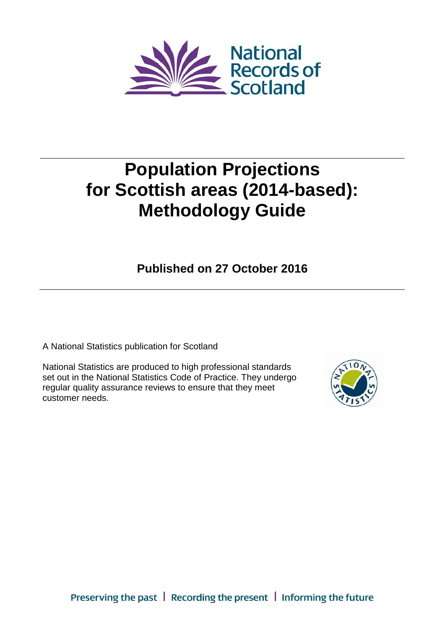

# **Population Projections for Scottish areas (2014-based): Methodology Guide**

**Published on 27 October 2016**

A National Statistics publication for Scotland

National Statistics are produced to high professional standards set out in the National Statistics Code of Practice. They undergo regular quality assurance reviews to ensure that they meet customer needs.

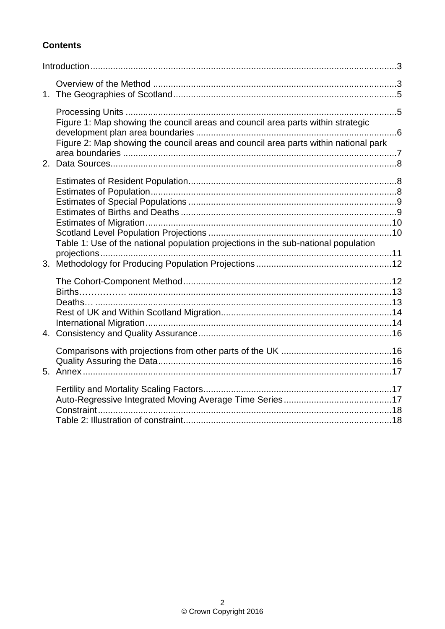# **Contents**

| Figure 1: Map showing the council areas and council area parts within strategic<br>Figure 2: Map showing the council areas and council area parts within national park |  |
|------------------------------------------------------------------------------------------------------------------------------------------------------------------------|--|
| Table 1: Use of the national population projections in the sub-national population                                                                                     |  |
|                                                                                                                                                                        |  |
|                                                                                                                                                                        |  |
|                                                                                                                                                                        |  |
|                                                                                                                                                                        |  |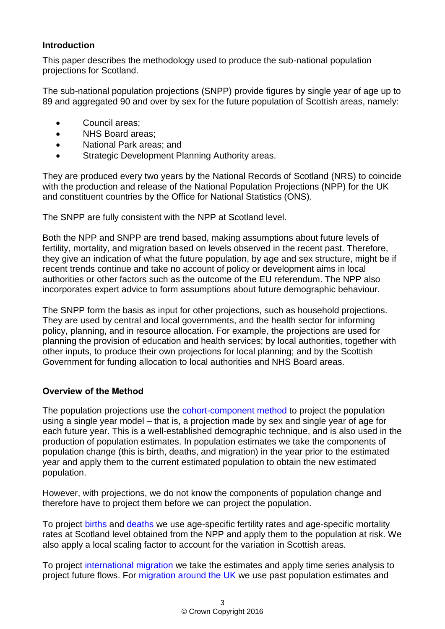#### <span id="page-2-0"></span>**Introduction**

This paper describes the methodology used to produce the sub-national population projections for Scotland.

The sub-national population projections (SNPP) provide figures by single year of age up to 89 and aggregated 90 and over by sex for the future population of Scottish areas, namely:

- Council areas;
- NHS Board areas:
- National Park areas; and
- **•** Strategic Development Planning Authority areas.

They are produced every two years by the National Records of Scotland (NRS) to coincide with the production and release of the National Population Projections (NPP) for the UK and constituent countries by the Office for National Statistics (ONS).

The SNPP are fully consistent with the NPP at Scotland level.

Both the NPP and SNPP are trend based, making assumptions about future levels of fertility, mortality, and migration based on levels observed in the recent past. Therefore, they give an indication of what the future population, by age and sex structure, might be if recent trends continue and take no account of policy or development aims in local authorities or other factors such as the outcome of the EU referendum. The NPP also incorporates expert advice to form assumptions about future demographic behaviour.

The SNPP form the basis as input for other projections, such as household projections. They are used by central and local governments, and the health sector for informing policy, planning, and in resource allocation. For example, the projections are used for planning the provision of education and health services; by local authorities, together with other inputs, to produce their own projections for local planning; and by the Scottish Government for funding allocation to local authorities and NHS Board areas.

#### <span id="page-2-1"></span>**Overview of the Method**

The population projections use the [cohort-component method](#page-11-1) to project the population using a single year model – that is, a projection made by sex and single year of age for each future year. This is a well-established demographic technique, and is also used in the production of population estimates. In population estimates we take the components of population change (this is birth, deaths, and migration) in the year prior to the estimated year and apply them to the current estimated population to obtain the new estimated population.

However, with projections, we do not know the components of population change and therefore have to project them before we can project the population.

To project [births](#page-12-0) and [deaths](#page-12-1) we use age-specific fertility rates and age-specific mortality rates at Scotland level obtained from the NPP and apply them to the population at risk. We also apply a local scaling factor to account for the variation in Scottish areas.

To project [international migration](#page-13-1) we take the estimates and apply time series analysis to project future flows. For [migration around the UK](#page-13-0) we use past population estimates and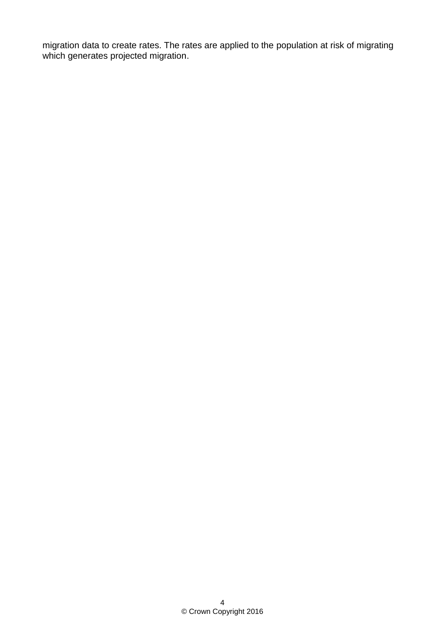migration data to create rates. The rates are applied to the population at risk of migrating which generates projected migration.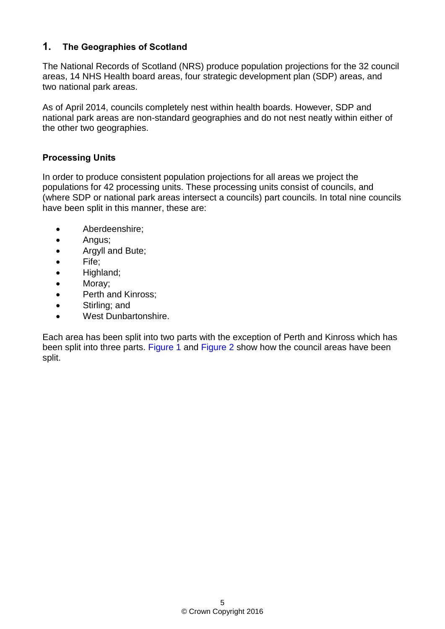# <span id="page-4-0"></span>**1. The Geographies of Scotland**

The National Records of Scotland (NRS) produce population projections for the 32 council areas, 14 NHS Health board areas, four strategic development plan (SDP) areas, and two national park areas.

As of April 2014, councils completely nest within health boards. However, SDP and national park areas are non-standard geographies and do not nest neatly within either of the other two geographies.

#### <span id="page-4-1"></span>**Processing Units**

In order to produce consistent population projections for all areas we project the populations for 42 processing units. These processing units consist of councils, and (where SDP or national park areas intersect a councils) part councils. In total nine councils have been split in this manner, these are:

- Aberdeenshire;
- Angus;
- Argyll and Bute;
- Fife;
- Highland;
- Moray;
- Perth and Kinross;
- Stirling; and
- West Dunbartonshire.

Each area has been split into two parts with the exception of Perth and Kinross which has been split into three parts. [Figure 1](#page-5-0) and [Figure 2](#page-6-0) show how the council areas have been split.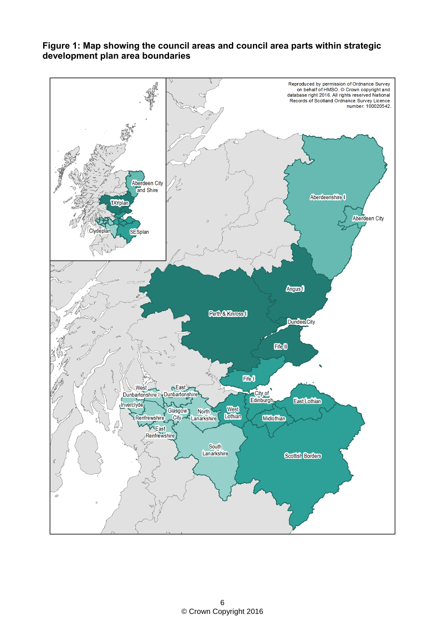

#### <span id="page-5-0"></span>**Figure 1: Map showing the council areas and council area parts within strategic development plan area boundaries**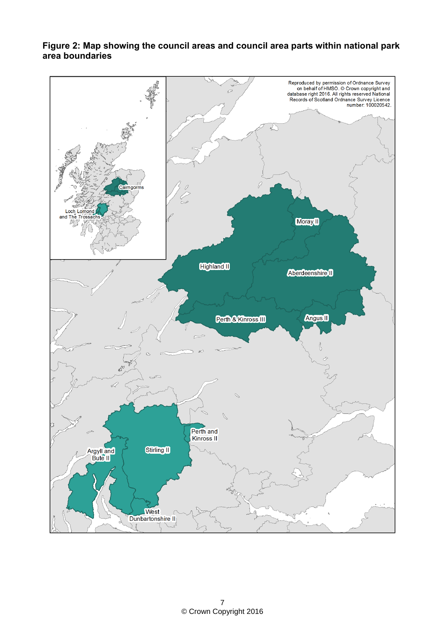

#### <span id="page-6-0"></span>**Figure 2: Map showing the council areas and council area parts within national park area boundaries**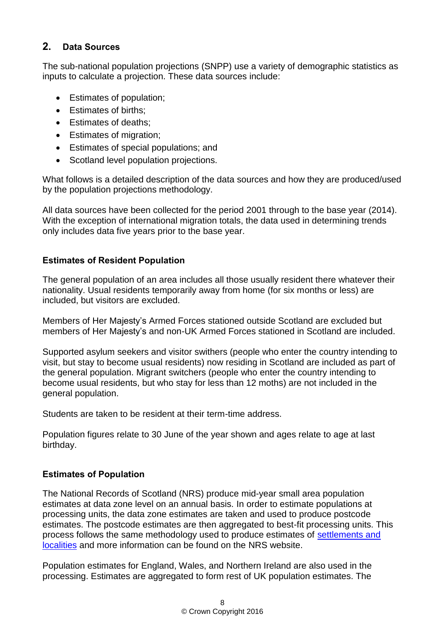# <span id="page-7-0"></span>**2. Data Sources**

The sub-national population projections (SNPP) use a variety of demographic statistics as inputs to calculate a projection. These data sources include:

- Estimates of population;
- Estimates of births:
- Estimates of deaths:
- **Estimates of migration;**
- Estimates of special populations; and
- Scotland level population projections.

What follows is a detailed description of the data sources and how they are produced/used by the population projections methodology.

All data sources have been collected for the period 2001 through to the base year (2014). With the exception of international migration totals, the data used in determining trends only includes data five years prior to the base year.

## <span id="page-7-1"></span>**Estimates of Resident Population**

The general population of an area includes all those usually resident there whatever their nationality. Usual residents temporarily away from home (for six months or less) are included, but visitors are excluded.

Members of Her Majesty's Armed Forces stationed outside Scotland are excluded but members of Her Majesty's and non-UK Armed Forces stationed in Scotland are included.

Supported asylum seekers and visitor swithers (people who enter the country intending to visit, but stay to become usual residents) now residing in Scotland are included as part of the general population. Migrant switchers (people who enter the country intending to become usual residents, but who stay for less than 12 moths) are not included in the general population.

Students are taken to be resident at their term-time address.

Population figures relate to 30 June of the year shown and ages relate to age at last birthday.

## <span id="page-7-2"></span>**Estimates of Population**

The National Records of Scotland (NRS) produce mid-year small area population estimates at data zone level on an annual basis. In order to estimate populations at processing units, the data zone estimates are taken and used to produce postcode estimates. The postcode estimates are then aggregated to best-fit processing units. This process follows the same methodology used to produce estimates of [settlements and](http://www.nrscotland.gov.uk/statistics-and-data/statistics/statistics-by-theme/population/population-estimates/special-area-population-estimates/settlements-and-localities)  [localities](http://www.nrscotland.gov.uk/statistics-and-data/statistics/statistics-by-theme/population/population-estimates/special-area-population-estimates/settlements-and-localities) and more information can be found on the NRS website.

Population estimates for England, Wales, and Northern Ireland are also used in the processing. Estimates are aggregated to form rest of UK population estimates. The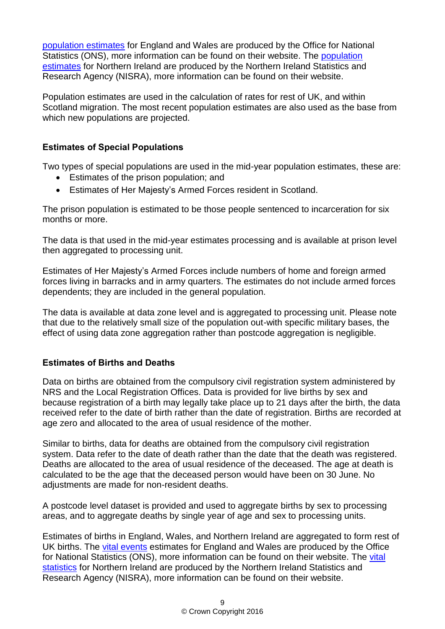[population estimates](https://www.ons.gov.uk/peoplepopulationandcommunity/populationandmigration/populationestimates) for England and Wales are produced by the Office for National Statistics (ONS), more information can be found on their website. The [population](http://www.nisra.gov.uk/demography/default.asp17.htm)  [estimates](http://www.nisra.gov.uk/demography/default.asp17.htm) for Northern Ireland are produced by the Northern Ireland Statistics and Research Agency (NISRA), more information can be found on their website.

Population estimates are used in the calculation of rates for rest of UK, and within Scotland migration. The most recent population estimates are also used as the base from which new populations are projected.

## <span id="page-8-0"></span>**Estimates of Special Populations**

Two types of special populations are used in the mid-year population estimates, these are:

- Estimates of the prison population; and
- Estimates of Her Majesty's Armed Forces resident in Scotland.

The prison population is estimated to be those people sentenced to incarceration for six months or more.

The data is that used in the mid-year estimates processing and is available at prison level then aggregated to processing unit.

Estimates of Her Majesty's Armed Forces include numbers of home and foreign armed forces living in barracks and in army quarters. The estimates do not include armed forces dependents; they are included in the general population.

The data is available at data zone level and is aggregated to processing unit. Please note that due to the relatively small size of the population out-with specific military bases, the effect of using data zone aggregation rather than postcode aggregation is negligible.

# <span id="page-8-1"></span>**Estimates of Births and Deaths**

Data on births are obtained from the compulsory civil registration system administered by NRS and the Local Registration Offices. Data is provided for live births by sex and because registration of a birth may legally take place up to 21 days after the birth, the data received refer to the date of birth rather than the date of registration. Births are recorded at age zero and allocated to the area of usual residence of the mother.

Similar to births, data for deaths are obtained from the compulsory civil registration system. Data refer to the date of death rather than the date that the death was registered. Deaths are allocated to the area of usual residence of the deceased. The age at death is calculated to be the age that the deceased person would have been on 30 June. No adjustments are made for non-resident deaths.

A postcode level dataset is provided and used to aggregate births by sex to processing areas, and to aggregate deaths by single year of age and sex to processing units.

Estimates of births in England, Wales, and Northern Ireland are aggregated to form rest of UK births. The [vital events](http://www.ons.gov.uk/peoplepopulationandcommunity/birthsdeathsandmarriages) estimates for England and Wales are produced by the Office for National Statistics (ONS), more information can be found on their website. The vital [statistics](http://www.nisra.gov.uk/demography/default.asp2.htm) for Northern Ireland are produced by the Northern Ireland Statistics and Research Agency (NISRA), more information can be found on their website.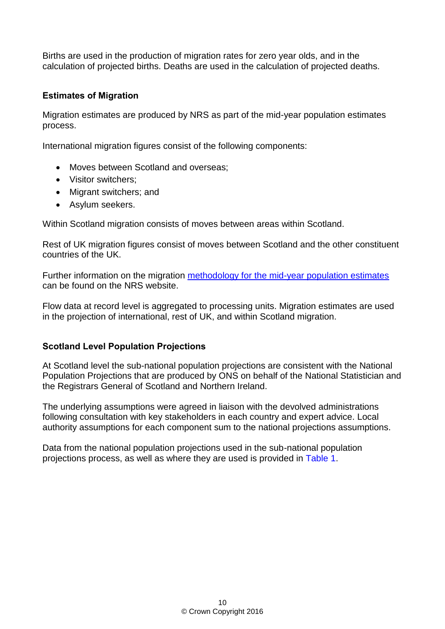Births are used in the production of migration rates for zero year olds, and in the calculation of projected births. Deaths are used in the calculation of projected deaths.

## <span id="page-9-0"></span>**Estimates of Migration**

Migration estimates are produced by NRS as part of the mid-year population estimates process.

International migration figures consist of the following components:

- Moves between Scotland and overseas;
- Visitor switchers:
- Migrant switchers; and
- Asylum seekers.

Within Scotland migration consists of moves between areas within Scotland.

Rest of UK migration figures consist of moves between Scotland and the other constituent countries of the UK.

Further information on the migration [methodology for the mid-year population estimates](http://www.nrscotland.gov.uk/statistics-and-data/statistics/statistics-by-theme/population/population-estimates/mid-year-population-estimates#Methodology) can be found on the NRS website.

Flow data at record level is aggregated to processing units. Migration estimates are used in the projection of international, rest of UK, and within Scotland migration.

## <span id="page-9-1"></span>**Scotland Level Population Projections**

At Scotland level the sub-national population projections are consistent with the National Population Projections that are produced by ONS on behalf of the National Statistician and the Registrars General of Scotland and Northern Ireland.

The underlying assumptions were agreed in liaison with the devolved administrations following consultation with key stakeholders in each country and expert advice. Local authority assumptions for each component sum to the national projections assumptions.

Data from the national population projections used in the sub-national population projections process, as well as where they are used is provided in [Table 1.](#page-10-0)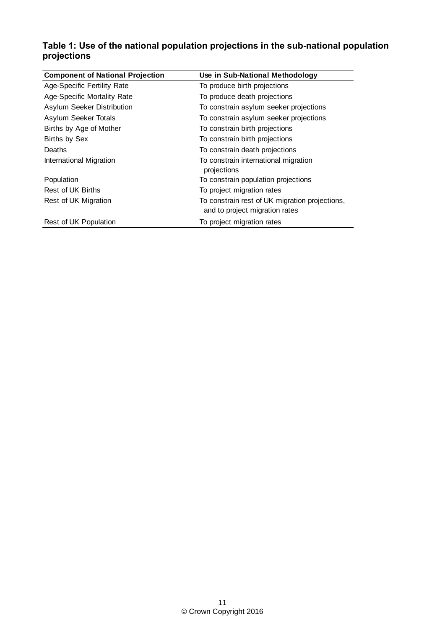## <span id="page-10-0"></span>**Table 1: Use of the national population projections in the sub-national population projections**

| <b>Component of National Projection</b> | Use in Sub-National Methodology                                                  |  |  |  |  |
|-----------------------------------------|----------------------------------------------------------------------------------|--|--|--|--|
| Age-Specific Fertility Rate             | To produce birth projections                                                     |  |  |  |  |
| Age-Specific Mortality Rate             | To produce death projections                                                     |  |  |  |  |
| Asylum Seeker Distribution              | To constrain asylum seeker projections                                           |  |  |  |  |
| Asylum Seeker Totals                    | To constrain asylum seeker projections                                           |  |  |  |  |
| Births by Age of Mother                 | To constrain birth projections                                                   |  |  |  |  |
| <b>Births by Sex</b>                    | To constrain birth projections                                                   |  |  |  |  |
| Deaths                                  | To constrain death projections                                                   |  |  |  |  |
| International Migration                 | To constrain international migration<br>projections                              |  |  |  |  |
| Population                              | To constrain population projections                                              |  |  |  |  |
| Rest of UK Births                       | To project migration rates                                                       |  |  |  |  |
| Rest of UK Migration                    | To constrain rest of UK migration projections,<br>and to project migration rates |  |  |  |  |
| Rest of UK Population                   | To project migration rates                                                       |  |  |  |  |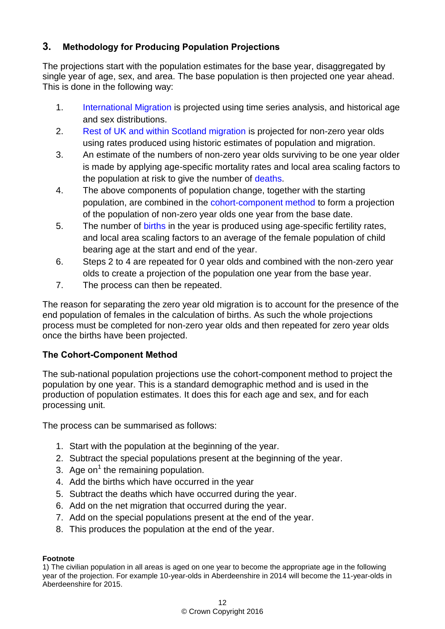# <span id="page-11-0"></span>**3. Methodology for Producing Population Projections**

The projections start with the population estimates for the base year, disaggregated by single year of age, sex, and area. The base population is then projected one year ahead. This is done in the following way:

- 1. [International Migration](#page-13-1) is projected using time series analysis, and historical age and sex distributions.
- 2. Rest of UK [and within Scotland migration](#page-13-2) is projected for non-zero year olds using rates produced using historic estimates of population and migration.
- 3. An estimate of the numbers of non-zero year olds surviving to be one year older is made by applying age-specific mortality rates and local area scaling factors to the population at risk to give the number of [deaths.](#page-12-1)
- 4. The above components of population change, together with the starting population, are combined in the [cohort-component method](#page-11-1) to form a projection of the population of non-zero year olds one year from the base date.
- 5. The number of [births](#page-12-0) in the year is produced using age-specific fertility rates, and local area scaling factors to an average of the female population of child bearing age at the start and end of the year.
- 6. Steps 2 to 4 are repeated for 0 year olds and combined with the non-zero year olds to create a projection of the population one year from the base year.
- 7. The process can then be repeated.

The reason for separating the zero year old migration is to account for the presence of the end population of females in the calculation of births. As such the whole projections process must be completed for non-zero year olds and then repeated for zero year olds once the births have been projected.

# <span id="page-11-1"></span>**The Cohort-Component Method**

The sub-national population projections use the cohort-component method to project the population by one year. This is a standard demographic method and is used in the production of population estimates. It does this for each age and sex, and for each processing unit.

The process can be summarised as follows:

- 1. Start with the population at the beginning of the year.
- 2. Subtract the special populations present at the beginning of the year.
- 3. Age on<sup>1</sup> the remaining population.
- 4. Add the births which have occurred in the year
- 5. Subtract the deaths which have occurred during the year.
- 6. Add on the net migration that occurred during the year.
- 7. Add on the special populations present at the end of the year.
- 8. This produces the population at the end of the year.

#### **Footnote**

1) The civilian population in all areas is aged on one year to become the appropriate age in the following year of the projection. For example 10-year-olds in Aberdeenshire in 2014 will become the 11-year-olds in Aberdeenshire for 2015.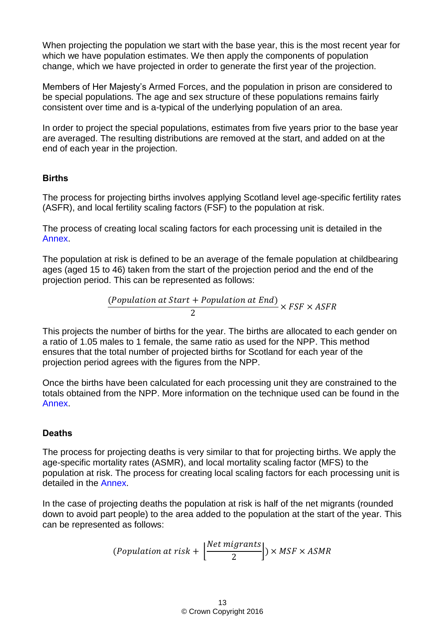When projecting the population we start with the base year, this is the most recent year for which we have population estimates. We then apply the components of population change, which we have projected in order to generate the first year of the projection.

Members of Her Majesty's Armed Forces, and the population in prison are considered to be special populations. The age and sex structure of these populations remains fairly consistent over time and is a-typical of the underlying population of an area.

In order to project the special populations, estimates from five years prior to the base year are averaged. The resulting distributions are removed at the start, and added on at the end of each year in the projection.

## <span id="page-12-0"></span>**Births**

The process for projecting births involves applying Scotland level age-specific fertility rates (ASFR), and local fertility scaling factors (FSF) to the population at risk.

The process of creating local scaling factors for each processing unit is detailed in the [Annex.](#page-16-3)

The population at risk is defined to be an average of the female population at childbearing ages (aged 15 to 46) taken from the start of the projection period and the end of the projection period. This can be represented as follows:

$$
\frac{(Population at Start + Population at End)}{2} \times FSF \times ASFR
$$

This projects the number of births for the year. The births are allocated to each gender on a ratio of 1.05 males to 1 female, the same ratio as used for the NPP. This method ensures that the total number of projected births for Scotland for each year of the projection period agrees with the figures from the NPP.

Once the births have been calculated for each processing unit they are constrained to the totals obtained from the NPP. More information on the technique used can be found in the [Annex.](#page-16-3)

## <span id="page-12-1"></span>**Deaths**

The process for projecting deaths is very similar to that for projecting births. We apply the age-specific mortality rates (ASMR), and local mortality scaling factor (MFS) to the population at risk. The process for creating local scaling factors for each processing unit is detailed in the [Annex.](#page-16-3)

In the case of projecting deaths the population at risk is half of the net migrants (rounded down to avoid part people) to the area added to the population at the start of the year. This can be represented as follows:

$$
(Population at risk + \left\lfloor \frac{Net \, migrants}{2} \right\rfloor) \times MSF \times ASMR
$$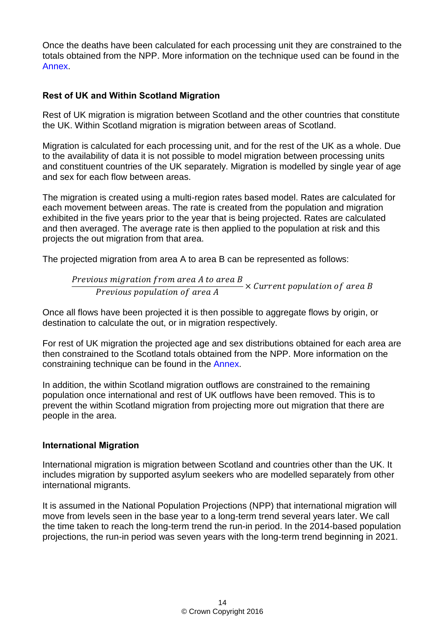<span id="page-13-2"></span>Once the deaths have been calculated for each processing unit they are constrained to the totals obtained from the NPP. More information on the technique used can be found in the [Annex.](#page-16-3)

## <span id="page-13-0"></span>**Rest of UK and Within Scotland Migration**

Rest of UK migration is migration between Scotland and the other countries that constitute the UK. Within Scotland migration is migration between areas of Scotland.

Migration is calculated for each processing unit, and for the rest of the UK as a whole. Due to the availability of data it is not possible to model migration between processing units and constituent countries of the UK separately. Migration is modelled by single year of age and sex for each flow between areas.

The migration is created using a multi-region rates based model. Rates are calculated for each movement between areas. The rate is created from the population and migration exhibited in the five years prior to the year that is being projected. Rates are calculated and then averaged. The average rate is then applied to the population at risk and this projects the out migration from that area.

The projected migration from area A to area B can be represented as follows:

*Previous migration from area A to area B*  
\n*Previous population of area A*  
\n
$$
\times
$$
 Current population of area B

Once all flows have been projected it is then possible to aggregate flows by origin, or destination to calculate the out, or in migration respectively.

For rest of UK migration the projected age and sex distributions obtained for each area are then constrained to the Scotland totals obtained from the NPP. More information on the constraining technique can be found in the [Annex.](#page-16-3)

In addition, the within Scotland migration outflows are constrained to the remaining population once international and rest of UK outflows have been removed. This is to prevent the within Scotland migration from projecting more out migration that there are people in the area.

## <span id="page-13-1"></span>**International Migration**

International migration is migration between Scotland and countries other than the UK. It includes migration by supported asylum seekers who are modelled separately from other international migrants.

It is assumed in the National Population Projections (NPP) that international migration will move from levels seen in the base year to a long-term trend several years later. We call the time taken to reach the long-term trend the run-in period. In the 2014-based population projections, the run-in period was seven years with the long-term trend beginning in 2021.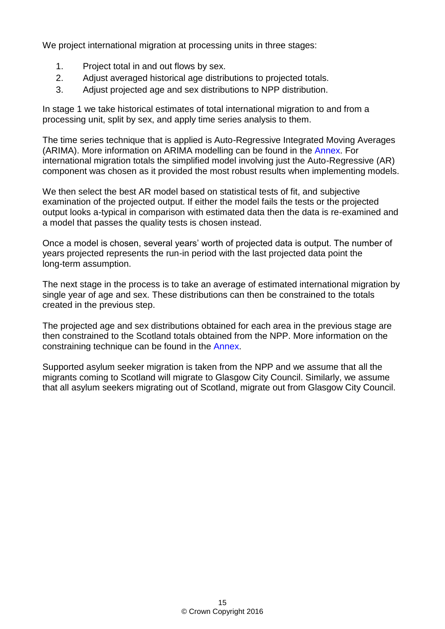We project international migration at processing units in three stages:

- 1. Project total in and out flows by sex.
- 2. Adjust averaged historical age distributions to projected totals.
- 3. Adjust projected age and sex distributions to NPP distribution.

In stage 1 we take historical estimates of total international migration to and from a processing unit, split by sex, and apply time series analysis to them.

The time series technique that is applied is Auto-Regressive Integrated Moving Averages (ARIMA). More information on ARIMA modelling can be found in the [Annex.](#page-16-3) For international migration totals the simplified model involving just the Auto-Regressive (AR) component was chosen as it provided the most robust results when implementing models.

We then select the best AR model based on statistical tests of fit, and subjective examination of the projected output. If either the model fails the tests or the projected output looks a-typical in comparison with estimated data then the data is re-examined and a model that passes the quality tests is chosen instead.

Once a model is chosen, several years' worth of projected data is output. The number of years projected represents the run-in period with the last projected data point the long-term assumption.

The next stage in the process is to take an average of estimated international migration by single year of age and sex. These distributions can then be constrained to the totals created in the previous step.

The projected age and sex distributions obtained for each area in the previous stage are then constrained to the Scotland totals obtained from the NPP. More information on the constraining technique can be found in the [Annex.](#page-16-3)

Supported asylum seeker migration is taken from the NPP and we assume that all the migrants coming to Scotland will migrate to Glasgow City Council. Similarly, we assume that all asylum seekers migrating out of Scotland, migrate out from Glasgow City Council.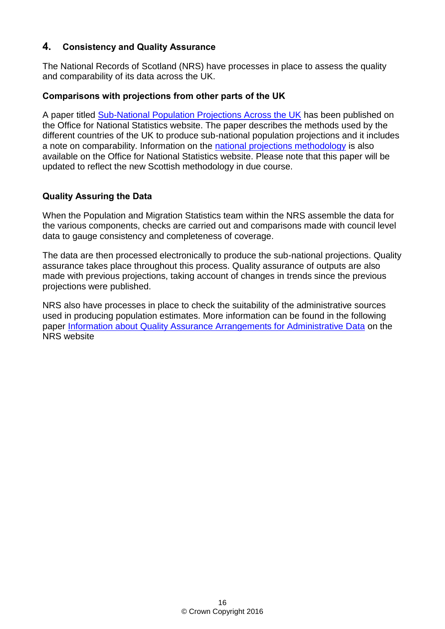## <span id="page-15-0"></span>**4. Consistency and Quality Assurance**

The National Records of Scotland (NRS) have processes in place to assess the quality and comparability of its data across the UK.

#### <span id="page-15-1"></span>**Comparisons with projections from other parts of the UK**

A paper titled [Sub-National Population Projections Across the UK](http://www.ons.gov.uk/ons/guide-method/method-quality/specific/population-and-migration/population-projections/subnational-population-projections-across-the-uk.pdf) has been published on the Office for National Statistics website. The paper describes the methods used by the different countries of the UK to produce sub-national population projections and it includes a note on comparability. Information on the [national projections methodology](https://www.ons.gov.uk/peoplepopulationandcommunity/populationandmigration/populationprojections) is also available on the Office for National Statistics website. Please note that this paper will be updated to reflect the new Scottish methodology in due course.

## <span id="page-15-2"></span>**Quality Assuring the Data**

When the Population and Migration Statistics team within the NRS assemble the data for the various components, checks are carried out and comparisons made with council level data to gauge consistency and completeness of coverage.

The data are then processed electronically to produce the sub-national projections. Quality assurance takes place throughout this process. Quality assurance of outputs are also made with previous projections, taking account of changes in trends since the previous projections were published.

NRS also have processes in place to check the suitability of the administrative sources used in producing population estimates. More information can be found in the following paper [Information about Quality Assurance Arrangements for Administrative Data](http://www.nrscotland.gov.uk/files//statistics/about/information-about-quality-assurance-arrangements-for-administrative-data-final.pdf) on the NRS website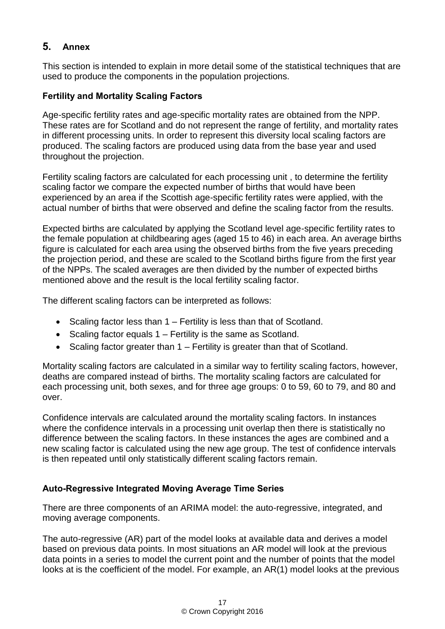# <span id="page-16-3"></span><span id="page-16-0"></span>**5. Annex**

This section is intended to explain in more detail some of the statistical techniques that are used to produce the components in the population projections.

## <span id="page-16-1"></span>**Fertility and Mortality Scaling Factors**

Age-specific fertility rates and age-specific mortality rates are obtained from the NPP. These rates are for Scotland and do not represent the range of fertility, and mortality rates in different processing units. In order to represent this diversity local scaling factors are produced. The scaling factors are produced using data from the base year and used throughout the projection.

Fertility scaling factors are calculated for each processing unit , to determine the fertility scaling factor we compare the expected number of births that would have been experienced by an area if the Scottish age-specific fertility rates were applied, with the actual number of births that were observed and define the scaling factor from the results.

Expected births are calculated by applying the Scotland level age-specific fertility rates to the female population at childbearing ages (aged 15 to 46) in each area. An average births figure is calculated for each area using the observed births from the five years preceding the projection period, and these are scaled to the Scotland births figure from the first year of the NPPs. The scaled averages are then divided by the number of expected births mentioned above and the result is the local fertility scaling factor.

The different scaling factors can be interpreted as follows:

- Scaling factor less than  $1 -$  Fertility is less than that of Scotland.
- $\bullet$  Scaling factor equals 1 Fertility is the same as Scotland.
- Scaling factor greater than 1 Fertility is greater than that of Scotland.

Mortality scaling factors are calculated in a similar way to fertility scaling factors, however, deaths are compared instead of births. The mortality scaling factors are calculated for each processing unit, both sexes, and for three age groups: 0 to 59, 60 to 79, and 80 and over.

Confidence intervals are calculated around the mortality scaling factors. In instances where the confidence intervals in a processing unit overlap then there is statistically no difference between the scaling factors. In these instances the ages are combined and a new scaling factor is calculated using the new age group. The test of confidence intervals is then repeated until only statistically different scaling factors remain.

## <span id="page-16-2"></span>**Auto-Regressive Integrated Moving Average Time Series**

There are three components of an ARIMA model: the auto-regressive, integrated, and moving average components.

The auto-regressive (AR) part of the model looks at available data and derives a model based on previous data points. In most situations an AR model will look at the previous data points in a series to model the current point and the number of points that the model looks at is the coefficient of the model. For example, an AR(1) model looks at the previous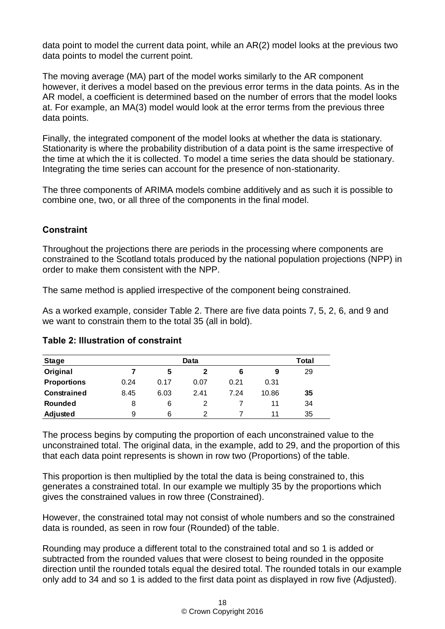data point to model the current data point, while an AR(2) model looks at the previous two data points to model the current point.

The moving average (MA) part of the model works similarly to the AR component however, it derives a model based on the previous error terms in the data points. As in the AR model, a coefficient is determined based on the number of errors that the model looks at. For example, an MA(3) model would look at the error terms from the previous three data points.

Finally, the integrated component of the model looks at whether the data is stationary. Stationarity is where the probability distribution of a data point is the same irrespective of the time at which the it is collected. To model a time series the data should be stationary. Integrating the time series can account for the presence of non-stationarity.

The three components of ARIMA models combine additively and as such it is possible to combine one, two, or all three of the components in the final model.

## <span id="page-17-0"></span>**Constraint**

Throughout the projections there are periods in the processing where components are constrained to the Scotland totals produced by the national population projections (NPP) in order to make them consistent with the NPP.

The same method is applied irrespective of the component being constrained.

As a worked example, consider Table 2. There are five data points 7, 5, 2, 6, and 9 and we want to constrain them to the total 35 (all in bold).

| <b>Stage</b>                                                                                                                                                                                                                                                                                                                                                                                                        |                         |      | Data         |                |       | Total |                                                                                                                                                                                                |
|---------------------------------------------------------------------------------------------------------------------------------------------------------------------------------------------------------------------------------------------------------------------------------------------------------------------------------------------------------------------------------------------------------------------|-------------------------|------|--------------|----------------|-------|-------|------------------------------------------------------------------------------------------------------------------------------------------------------------------------------------------------|
| Original                                                                                                                                                                                                                                                                                                                                                                                                            | $\overline{\mathbf{z}}$ | 5    | $\mathbf{2}$ | 6              | 9     | 29    |                                                                                                                                                                                                |
| <b>Proportions</b>                                                                                                                                                                                                                                                                                                                                                                                                  | 0.24                    | 0.17 | 0.07         | 0.21           | 0.31  |       |                                                                                                                                                                                                |
| <b>Constrained</b>                                                                                                                                                                                                                                                                                                                                                                                                  | 8.45                    | 6.03 | 2.41         | 7.24           | 10.86 | 35    |                                                                                                                                                                                                |
| Rounded                                                                                                                                                                                                                                                                                                                                                                                                             | 8                       | 6    | 2            | 7              | 11    | 34    |                                                                                                                                                                                                |
| Adjusted                                                                                                                                                                                                                                                                                                                                                                                                            | 9                       | 6    | 2            | $\overline{7}$ | 11    | 35    |                                                                                                                                                                                                |
| The process begins by computing the proportion of each unconstrained value to the<br>that each data point represents is shown in row two (Proportions) of the table.<br>This proportion is then multiplied by the total the data is being constrained to, this<br>generates a constrained total. In our example we multiply 35 by the proportions which<br>gives the constrained values in row three (Constrained). |                         |      |              |                |       |       | unconstrained total. The original data, in the example, add to 29, and the proportion of this                                                                                                  |
| data is rounded, as seen in row four (Rounded) of the table.                                                                                                                                                                                                                                                                                                                                                        |                         |      |              |                |       |       | However, the constrained total may not consist of whole numbers and so the constrained                                                                                                         |
| Rounding may produce a different total to the constrained total and so 1 is added or<br>subtracted from the rounded values that were closest to being rounded in the opposite                                                                                                                                                                                                                                       |                         |      |              |                |       |       | direction until the rounded totals equal the desired total. The rounded totals in our example<br>only add to 34 and so 1 is added to the first data point as displayed in row five (Adjusted). |

## <span id="page-17-1"></span>**Table 2: Illustration of constraint**